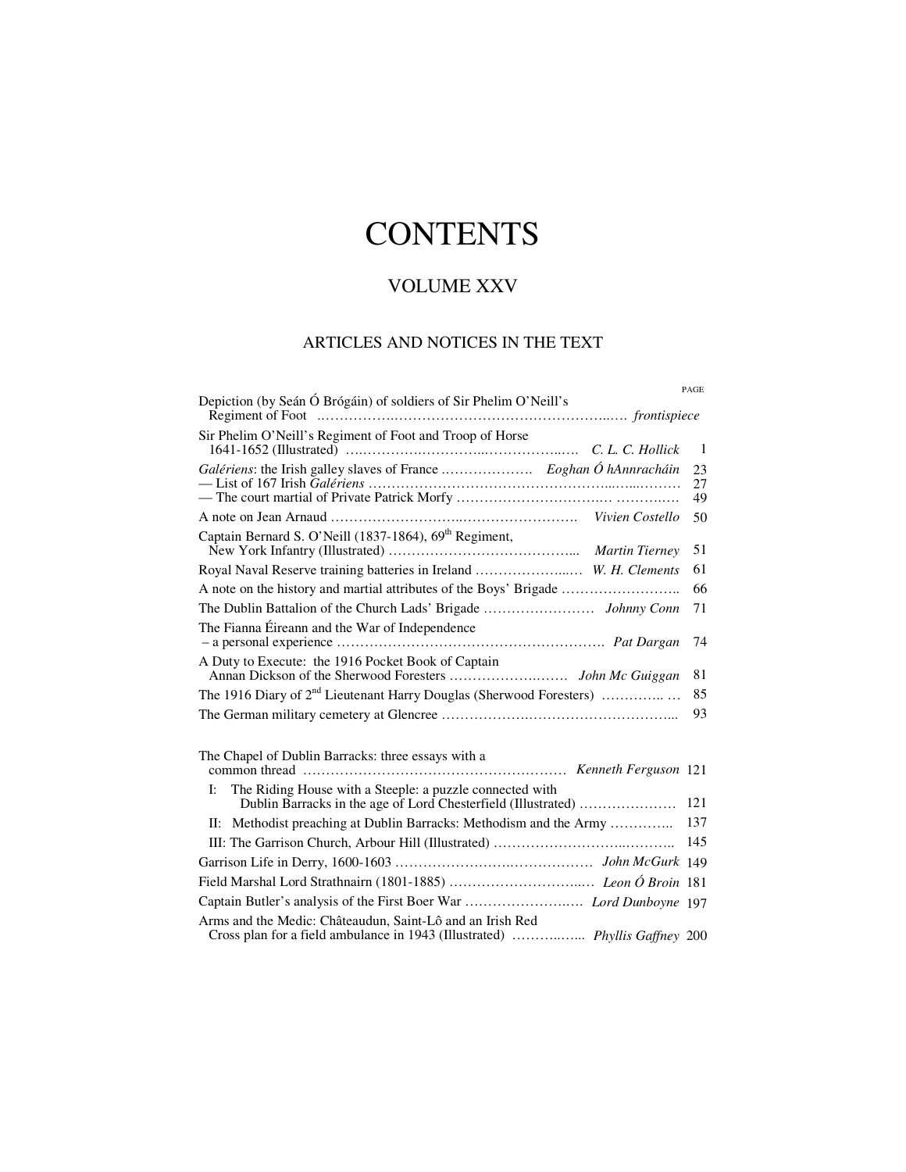# **CONTENTS**

## VOLUME XXV

## ARTICLES AND NOTICES IN THE TEXT

|                                                                                                                                          | PAGE           |
|------------------------------------------------------------------------------------------------------------------------------------------|----------------|
| Depiction (by Seán Ó Brógáin) of soldiers of Sir Phelim O'Neill's                                                                        |                |
| Sir Phelim O'Neill's Regiment of Foot and Troop of Horse                                                                                 |                |
|                                                                                                                                          | $\overline{1}$ |
|                                                                                                                                          | 23             |
|                                                                                                                                          | 27<br>49       |
|                                                                                                                                          | 50             |
| Captain Bernard S. O'Neill (1837-1864), 69 <sup>th</sup> Regiment,                                                                       | 51             |
| Royal Naval Reserve training batteries in Ireland  W. H. Clements                                                                        | 61             |
|                                                                                                                                          | 66             |
|                                                                                                                                          | 71             |
| The Fianna Éireann and the War of Independence                                                                                           |                |
|                                                                                                                                          | 74             |
| A Duty to Execute: the 1916 Pocket Book of Captain                                                                                       | 81             |
| The 1916 Diary of 2 <sup>nd</sup> Lieutenant Harry Douglas (Sherwood Foresters)                                                          | 85             |
|                                                                                                                                          | 93             |
|                                                                                                                                          |                |
| The Chapel of Dublin Barracks: three essays with a                                                                                       |                |
|                                                                                                                                          |                |
| The Riding House with a Steeple: a puzzle connected with<br>I:<br>Dublin Barracks in the age of Lord Chesterfield (Illustrated)          | 121            |
| II: Methodist preaching at Dublin Barracks: Methodism and the Army                                                                       | 137            |
|                                                                                                                                          | 145            |
|                                                                                                                                          |                |
|                                                                                                                                          |                |
| Captain Butler's analysis of the First Boer War  Lord Dunboyne 197                                                                       |                |
| Arms and the Medic: Châteaudun, Saint-Lô and an Irish Red<br>Cross plan for a field ambulance in 1943 (Illustrated)  Phyllis Gaffney 200 |                |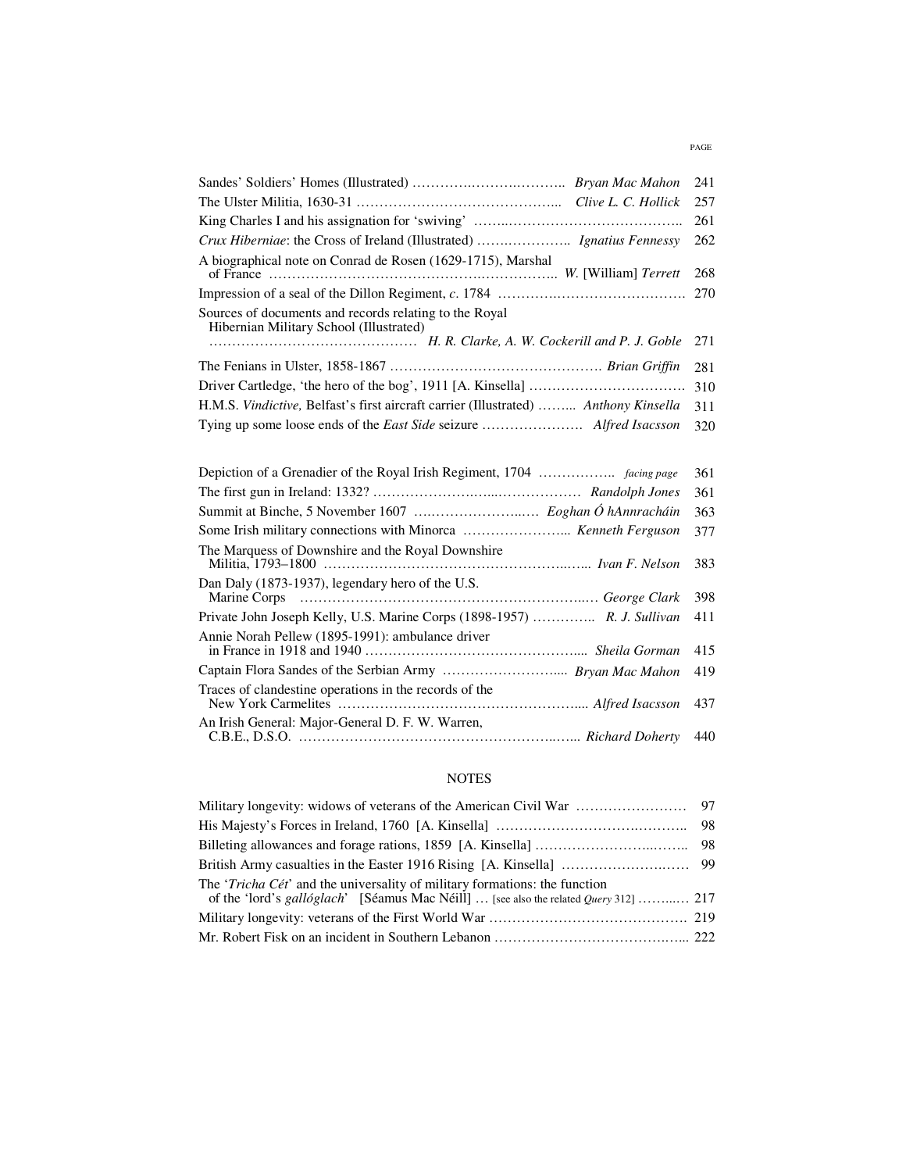|                                                                                                   | 241 |
|---------------------------------------------------------------------------------------------------|-----|
|                                                                                                   | 257 |
|                                                                                                   | 261 |
| Crux Hiberniae: the Cross of Ireland (Illustrated)  Ignatius Fennessy                             | 262 |
| A biographical note on Conrad de Rosen (1629-1715), Marshal                                       | 268 |
|                                                                                                   | 270 |
| Sources of documents and records relating to the Royal<br>Hibernian Military School (Illustrated) | 271 |
|                                                                                                   | 281 |
|                                                                                                   | 310 |
| H.M.S. Vindictive, Belfast's first aircraft carrier (Illustrated)  Anthony Kinsella               | 311 |
|                                                                                                   | 320 |
|                                                                                                   |     |
|                                                                                                   | 361 |
|                                                                                                   | 361 |
|                                                                                                   | 363 |
| Some Irish military connections with Minorca  Kenneth Ferguson                                    | 377 |
| The Marquess of Downshire and the Royal Downshire                                                 | 383 |
| Dan Daly (1873-1937), legendary hero of the U.S.                                                  | 398 |
| Private John Joseph Kelly, U.S. Marine Corps (1898-1957)  R. J. Sullivan                          | 411 |
| Annie Norah Pellew (1895-1991): ambulance driver                                                  | 415 |
| Captain Flora Sandes of the Serbian Army  Bryan Mac Mahon                                         | 419 |
| Traces of clandestine operations in the records of the                                            | 437 |
| An Irish General: Major-General D. F. W. Warren,                                                  | 440 |

### NOTES

| The ' <i>Tricha Cét</i> ' and the universality of military formations: the function<br>of the 'lord's gallóglach' [Séamus Mac Néill]  [see also the related Query 312]  217 |  |
|-----------------------------------------------------------------------------------------------------------------------------------------------------------------------------|--|
|                                                                                                                                                                             |  |
|                                                                                                                                                                             |  |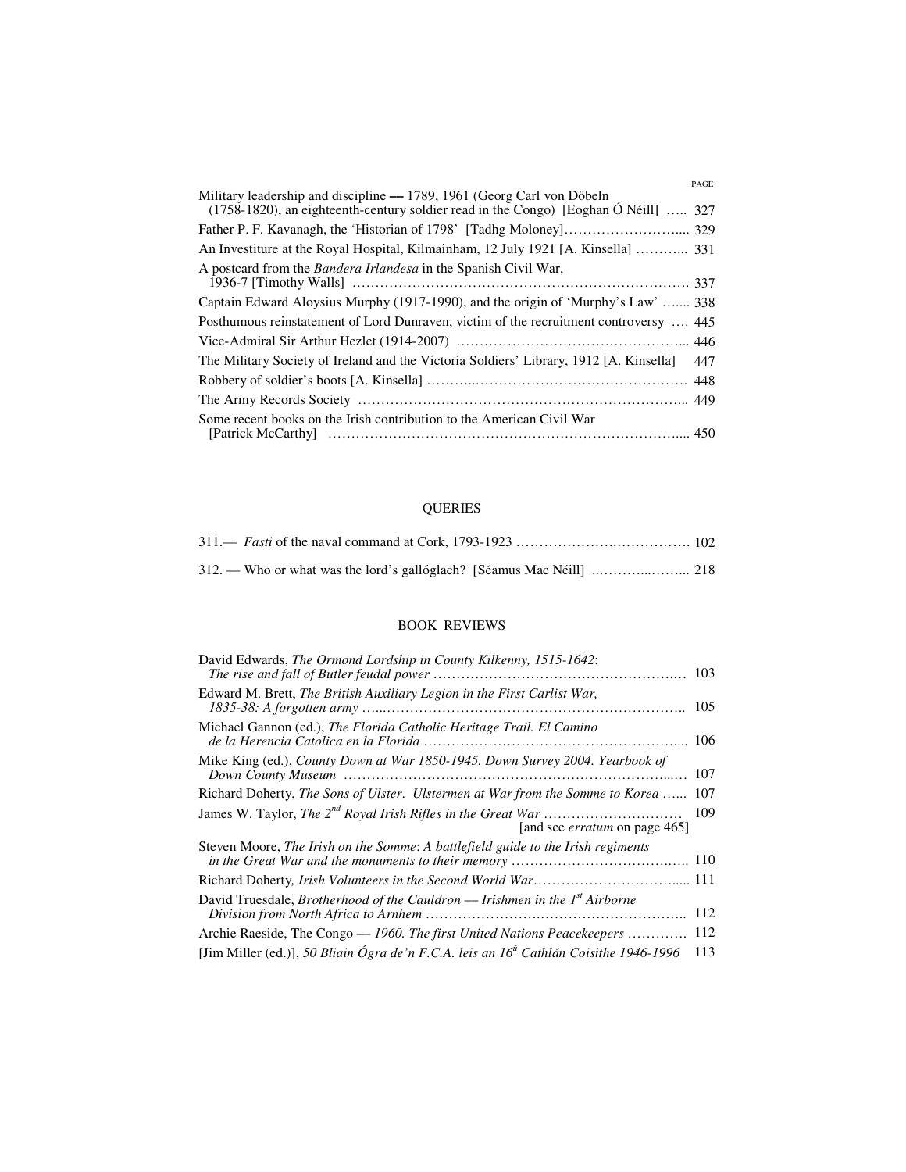| PAGE                                                                                                                                                             |
|------------------------------------------------------------------------------------------------------------------------------------------------------------------|
| Military leadership and discipline — 1789, 1961 (Georg Carl von Döbeln<br>$(1758-1820)$ , an eighteenth-century soldier read in the Congo) [Eoghan Ó Néill]  327 |
|                                                                                                                                                                  |
| An Investiture at the Royal Hospital, Kilmainham, 12 July 1921 [A. Kinsella]  331                                                                                |
| A postcard from the Bandera Irlandesa in the Spanish Civil War,                                                                                                  |
| Captain Edward Aloysius Murphy (1917-1990), and the origin of 'Murphy's Law'  338                                                                                |
| Posthumous reinstatement of Lord Dunraven, victim of the recruitment controversy  445                                                                            |
|                                                                                                                                                                  |
| The Military Society of Ireland and the Victoria Soldiers' Library, 1912 [A. Kinsella]<br>447                                                                    |
|                                                                                                                                                                  |
|                                                                                                                                                                  |
| Some recent books on the Irish contribution to the American Civil War                                                                                            |

## QUERIES

### BOOK REVIEWS

| David Edwards, The Ormond Lordship in County Kilkenny, 1515-1642:                                 | 103 |
|---------------------------------------------------------------------------------------------------|-----|
| Edward M. Brett, The British Auxiliary Legion in the First Carlist War,                           | 105 |
| Michael Gannon (ed.), The Florida Catholic Heritage Trail. El Camino                              | 106 |
| Mike King (ed.), County Down at War 1850-1945. Down Survey 2004. Yearbook of                      | 107 |
| Richard Doherty, The Sons of Ulster. Ulstermen at War from the Somme to Korea                     | 107 |
| [and see <i>erratum</i> on page 465]                                                              | 109 |
| Steven Moore, The Irish on the Somme: A battlefield guide to the Irish regiments                  |     |
|                                                                                                   |     |
| David Truesdale, Brotherhood of the Cauldron — Irishmen in the $Ist$ Airborne                     | 112 |
| Archie Raeside, The Congo — 1960. The first United Nations Peacekeepers                           | 112 |
| [Jim Miller (ed.)], 50 Bliain Ógra de'n F.C.A. leis an 16 <sup>4</sup> Cathlán Coisithe 1946-1996 | 113 |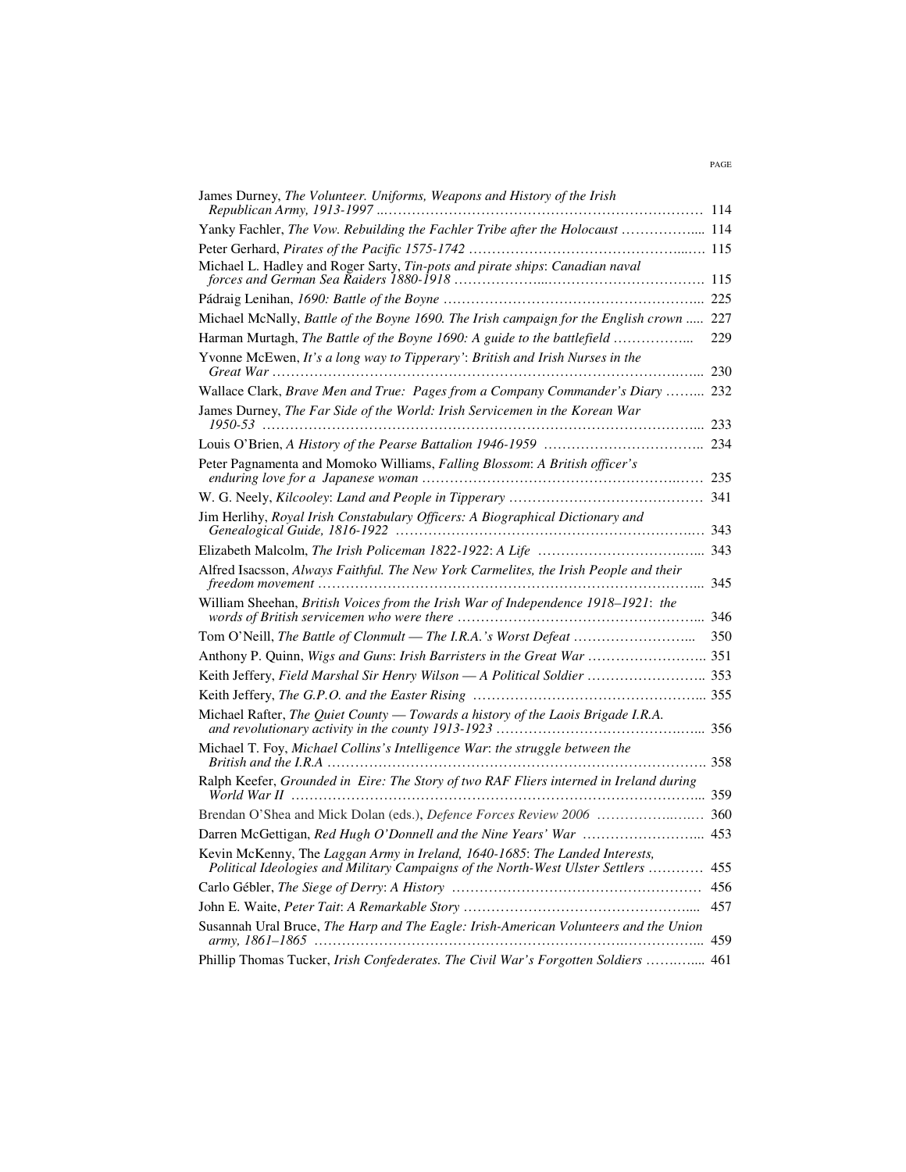| James Durney, The Volunteer. Uniforms, Weapons and History of the Irish                                                                                      |     |
|--------------------------------------------------------------------------------------------------------------------------------------------------------------|-----|
| Yanky Fachler, The Vow. Rebuilding the Fachler Tribe after the Holocaust  114                                                                                |     |
|                                                                                                                                                              |     |
| Michael L. Hadley and Roger Sarty, Tin-pots and pirate ships: Canadian naval                                                                                 |     |
|                                                                                                                                                              |     |
| Michael McNally, Battle of the Boyne 1690. The Irish campaign for the English crown  227                                                                     |     |
| Harman Murtagh, The Battle of the Boyne 1690: A guide to the battlefield                                                                                     | 229 |
| Yvonne McEwen, It's a long way to Tipperary': British and Irish Nurses in the                                                                                |     |
| Wallace Clark, Brave Men and True: Pages from a Company Commander's Diary  232                                                                               |     |
| James Durney, The Far Side of the World: Irish Servicemen in the Korean War                                                                                  |     |
|                                                                                                                                                              |     |
| Peter Pagnamenta and Momoko Williams, Falling Blossom: A British officer's                                                                                   |     |
|                                                                                                                                                              |     |
| Jim Herlihy, Royal Irish Constabulary Officers: A Biographical Dictionary and                                                                                |     |
|                                                                                                                                                              |     |
| Alfred Isacsson, Always Faithful. The New York Carmelites, the Irish People and their                                                                        |     |
| William Sheehan, British Voices from the Irish War of Independence 1918-1921: the                                                                            |     |
|                                                                                                                                                              |     |
| Anthony P. Quinn, Wigs and Guns: Irish Barristers in the Great War  351                                                                                      |     |
| Keith Jeffery, Field Marshal Sir Henry Wilson - A Political Soldier  353                                                                                     |     |
|                                                                                                                                                              |     |
| Michael Rafter, The Quiet County - Towards a history of the Laois Brigade I.R.A.                                                                             |     |
| Michael T. Foy, Michael Collins's Intelligence War: the struggle between the                                                                                 |     |
| Ralph Keefer, Grounded in Eire: The Story of two RAF Fliers interned in Ireland during                                                                       |     |
|                                                                                                                                                              |     |
| Darren McGettigan, Red Hugh O'Donnell and the Nine Years' War  453                                                                                           |     |
| Kevin McKenny, The Laggan Army in Ireland, 1640-1685: The Landed Interests,<br>Political Ideologies and Military Campaigns of the North-West Ulster Settlers | 455 |
|                                                                                                                                                              | 456 |
|                                                                                                                                                              | 457 |
| Susannah Ural Bruce, The Harp and The Eagle: Irish-American Volunteers and the Union                                                                         |     |
| Phillip Thomas Tucker, Irish Confederates. The Civil War's Forgotten Soldiers  461                                                                           |     |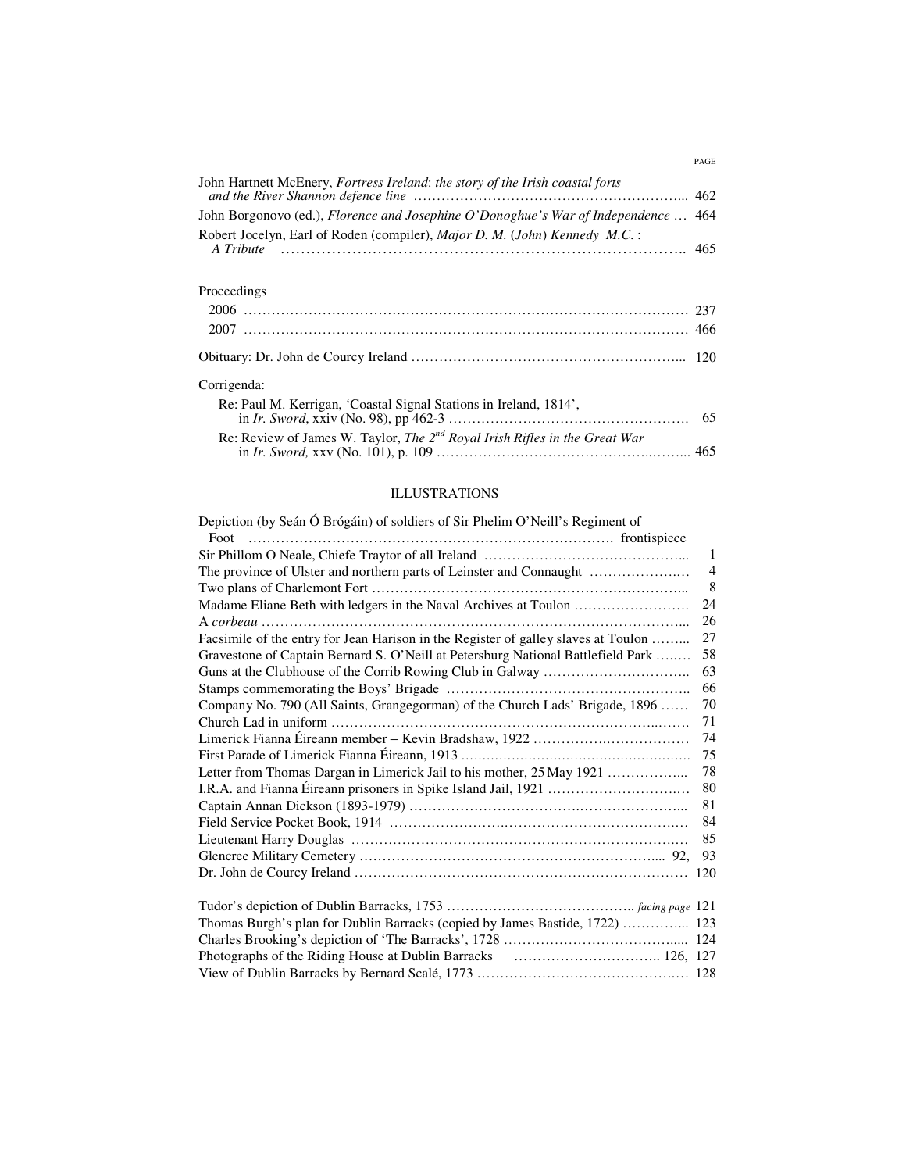| John Hartnett McEnery, Fortress Ireland: the story of the Irish coastal forts          |  |
|----------------------------------------------------------------------------------------|--|
| John Borgonovo (ed.), Florence and Josephine O'Donoghue's War of Independence  464     |  |
| Robert Jocelyn, Earl of Roden (compiler), Major D. M. (John) Kennedy M.C.:             |  |
| Proceedings                                                                            |  |
|                                                                                        |  |
|                                                                                        |  |
|                                                                                        |  |
| Corrigenda:                                                                            |  |
| Re: Paul M. Kerrigan, 'Coastal Signal Stations in Ireland, 1814',                      |  |
| Re: Review of James W. Taylor, The 2 <sup>nd</sup> Royal Irish Rifles in the Great War |  |

PAGE

#### ILLUSTRATIONS

| Depiction (by Seán Ó Brógáin) of soldiers of Sir Phelim O'Neill's Regiment of      |                |
|------------------------------------------------------------------------------------|----------------|
|                                                                                    |                |
|                                                                                    | -1             |
|                                                                                    | $\overline{4}$ |
|                                                                                    | 8              |
|                                                                                    | 24             |
|                                                                                    | 26             |
| Facsimile of the entry for Jean Harison in the Register of galley slaves at Toulon | 27             |
| Gravestone of Captain Bernard S. O'Neill at Petersburg National Battlefield Park   | 58             |
|                                                                                    | 63             |
|                                                                                    | 66             |
| Company No. 790 (All Saints, Grangegorman) of the Church Lads' Brigade, 1896       | 70             |
|                                                                                    | 71             |
|                                                                                    | 74             |
|                                                                                    | 75             |
|                                                                                    | 78             |
|                                                                                    | 80             |
|                                                                                    | 81             |
|                                                                                    | 84             |
|                                                                                    | 85             |
|                                                                                    | 93             |
|                                                                                    |                |
|                                                                                    |                |
|                                                                                    |                |
| Thomas Burgh's plan for Dublin Barracks (copied by James Bastide, 1722)  123       |                |
|                                                                                    |                |
|                                                                                    |                |
|                                                                                    |                |